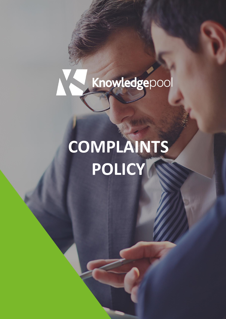

# **COMPLAINTS POLICY**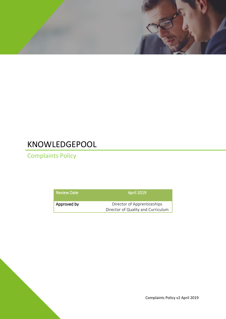

## KNOWLEDGEPOOL

Complaints Policy

| <b>Review Date</b> | <b>April 2019</b>                  |
|--------------------|------------------------------------|
| Approved by        | Director of Apprenticeships        |
|                    | Director of Quality and Curriculum |

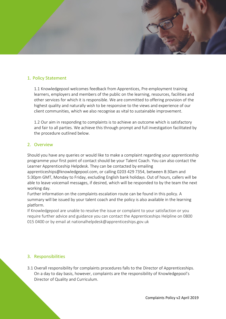

#### 1. Policy Statement

1.1 Knowledgepool welcomes feedback from Apprentices, Pre-employment training learners, employers and members of the public on the learning, resources, facilities and other services for which it is responsible. We are committed to offering provision of the highest quality and naturally wish to be responsive to the views and experience of our client communities, which we also recognise as vital to sustainable improvement.

1.2 Our aim in responding to complaints is to achieve an outcome which is satisfactory and fair to all parties. We achieve this through prompt and full investigation facilitated by the procedure outlined below.

#### 2. Overview

Should you have any queries or would like to make a complaint regarding your apprenticeship programme your first point of contact should be your Talent Coach. You can also contact the Learner Apprenticeship Helpdesk. They can be contacted by emailing

apprenticeships@knowledgepool.com, or calling 0203 429 7354, between 8:30am and 5:30pm GMT, Monday to Friday, excluding English bank holidays. Out of hours, callers will be able to leave voicemail messages, if desired, which will be responded to by the team the next working day.

Further information on the complaints escalation route can be found in this policy. A summary will be issued by your talent coach and the policy is also available in the learning platform.

If Knowledgepool are unable to resolve the issue or complaint to your satisfaction or you require further advice and guidance you can contact the Apprenticeships Helpline on 0800 015 0400 or by email at nationalhelpdesk@apprenticeships.gov.uk

#### 3. Responsibilities

3.1 Overall responsibility for complaints procedures falls to the Director of Apprenticeships. On a day to day basis, however, complaints are the responsibility of Knowledgepool's Director of Quality and Curriculum.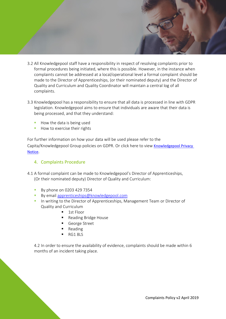

- 3.2 All Knowledgepool staff have a responsibility in respect of resolving complaints prior to formal procedures being initiated, where this is possible. However, in the instance when complaints cannot be addressed at a local/operational level a formal complaint should be made to the Director of Apprenticeships, (or their nominated deputy) and the Director of Quality and Curriculum and Quality Coordinator will maintain a central log of all complaints.
- 3.3 Knowledgepool has a responsibility to ensure that all data is processed in line with GDPR legislation. Knowledgepool aims to ensure that individuals are aware that their data is being processed, and that they understand:
	- How the data is being used
	- How to exercise their rights

For further information on how your data will be used please refer to the Capita/Knowledgepool Group policies on GDPR. Or click here to view [Knowledgepool Privacy](https://knowledgepool.com/privacy-notice/)  [Notice.](https://knowledgepool.com/privacy-notice/)

#### 4. Complaints Procedure

- 4.1 A formal complaint can be made to Knowledgepool's Director of Apprenticeships, (Or their nominated deputy) Director of Quality and Curriculum:
	- **By phone on 0203 429 7354**
	- **By email [apprenticeships@knowledgepool.com](mailto:apprenticeships@knowledgepool.com)**
	- **.** In writing to the Director of Apprenticeships, Management Team or Director of Quality and Curriculum
		- 1st Floor
		- **Reading Bridge House**
		- George Street
		- **Reading**
		- **RG1 8LS**

4.2 In order to ensure the availability of evidence, complaints should be made within 6 months of an incident taking place.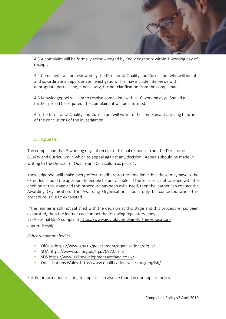

4.3 A complaint will be formally acknowledged by Knowledgepool within 1 working day of receipt.

4.4 Complaints will be reviewed by the Director of Quality and Curriculum who will initiate and co-ordinate an appropriate investigation. This may include interviews with appropriate parties and, if necessary, further clarification from the complainant.

4.5 Knowledgepool will aim to resolve complaints within 10 working days. Should a further period be required, the complainant will be informed.

4.6 The Director of Quality and Curriculum will write to the complainant advising him/her of the conclusions of the investigation.

#### 5. Appeals

The complainant has 5 working days of receipt of formal response from the Director of Quality and Curriculum in which to appeal against any decision. Appeals should be made in writing to the Director of Quality and Curriculum as per 3.1.

Knowledgepool will make every effort to adhere to the time limits but these may have to be extended should the appropriate people be unavailable. If the learner is not satisfied with the decision at this stage and this procedure has been exhausted, then the learner can contact the Awarding Organisation. The Awarding Organisation should only be contacted when this procedure is FULLY exhausted.

If the learner is still not satisfied with the decision at this stage and this procedure has been exhausted, then the learner can contact the following regulatory body i.e. ESFA Formal ESFA complaint [https://www.gov.uk/complain-further-education](https://www.gov.uk/complain-further-education-apprenticeship)[apprenticeship.](https://www.gov.uk/complain-further-education-apprenticeship)

*Other regulatory bodies:*

- OfQual<https://www.gov.uk/government/organisations/ofqual>
- SQA<https://www.sqa.org.uk/sqa/70972.html>
- SDS<https://www.skillsdevelopmentscotland.co.uk/>
- Qualifications Wales <http://www.qualificationswales.org/english/>

Further information relating to appeals can also be found in our appeals policy.